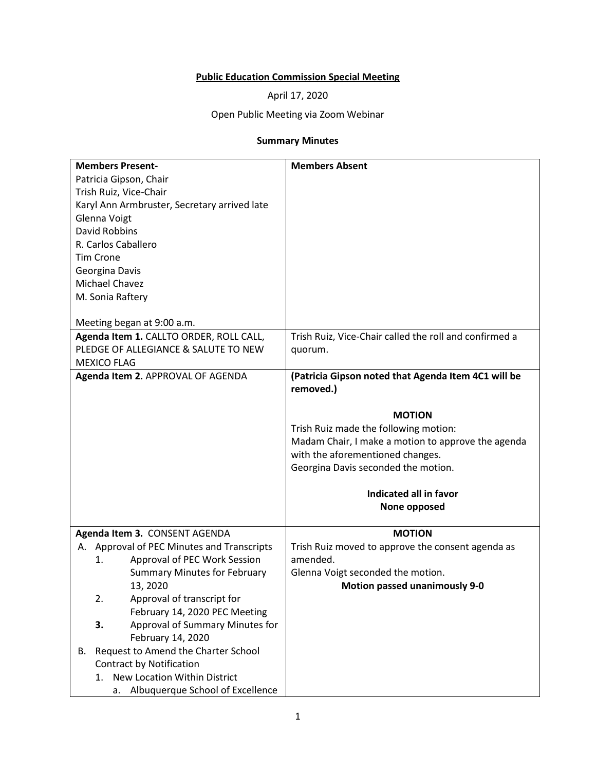## **Public Education Commission Special Meeting**

April 17, 2020

Open Public Meeting via Zoom Webinar

## **Summary Minutes**

| <b>Members Present-</b>                      | <b>Members Absent</b>                                  |
|----------------------------------------------|--------------------------------------------------------|
| Patricia Gipson, Chair                       |                                                        |
| Trish Ruiz, Vice-Chair                       |                                                        |
| Karyl Ann Armbruster, Secretary arrived late |                                                        |
| Glenna Voigt                                 |                                                        |
| David Robbins                                |                                                        |
| R. Carlos Caballero                          |                                                        |
| <b>Tim Crone</b>                             |                                                        |
| Georgina Davis                               |                                                        |
| Michael Chavez                               |                                                        |
| M. Sonia Raftery                             |                                                        |
|                                              |                                                        |
| Meeting began at 9:00 a.m.                   |                                                        |
| Agenda Item 1. CALLTO ORDER, ROLL CALL,      | Trish Ruiz, Vice-Chair called the roll and confirmed a |
| PLEDGE OF ALLEGIANCE & SALUTE TO NEW         | quorum.                                                |
| <b>MEXICO FLAG</b>                           |                                                        |
| Agenda Item 2. APPROVAL OF AGENDA            | (Patricia Gipson noted that Agenda Item 4C1 will be    |
|                                              | removed.)                                              |
|                                              |                                                        |
|                                              | <b>MOTION</b>                                          |
|                                              | Trish Ruiz made the following motion:                  |
|                                              | Madam Chair, I make a motion to approve the agenda     |
|                                              | with the aforementioned changes.                       |
|                                              | Georgina Davis seconded the motion.                    |
|                                              |                                                        |
|                                              | Indicated all in favor                                 |
|                                              | None opposed                                           |
|                                              |                                                        |
| Agenda Item 3. CONSENT AGENDA                | <b>MOTION</b>                                          |
| A. Approval of PEC Minutes and Transcripts   | Trish Ruiz moved to approve the consent agenda as      |
| Approval of PEC Work Session<br>1.           | amended.                                               |
| <b>Summary Minutes for February</b>          | Glenna Voigt seconded the motion.                      |
| 13, 2020                                     | <b>Motion passed unanimously 9-0</b>                   |
| Approval of transcript for<br>2.             |                                                        |
| February 14, 2020 PEC Meeting                |                                                        |
| Approval of Summary Minutes for<br>3.        |                                                        |
| February 14, 2020                            |                                                        |
| Request to Amend the Charter School<br>В.    |                                                        |
| <b>Contract by Notification</b>              |                                                        |
| New Location Within District<br>1.           |                                                        |
|                                              |                                                        |
| a. Albuquerque School of Excellence          |                                                        |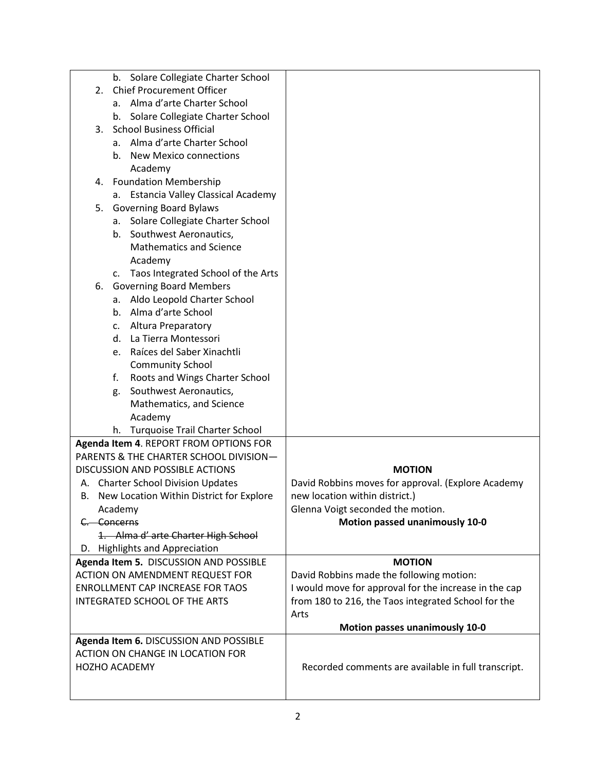|    | b. Solare Collegiate Charter School                                              |                                                       |
|----|----------------------------------------------------------------------------------|-------------------------------------------------------|
| 2. | <b>Chief Procurement Officer</b>                                                 |                                                       |
|    | a. Alma d'arte Charter School                                                    |                                                       |
|    | Solare Collegiate Charter School<br>b.                                           |                                                       |
| 3. | <b>School Business Official</b>                                                  |                                                       |
|    | a. Alma d'arte Charter School                                                    |                                                       |
|    | <b>New Mexico connections</b><br>b.                                              |                                                       |
|    | Academy                                                                          |                                                       |
|    | 4. Foundation Membership                                                         |                                                       |
|    | a. Estancia Valley Classical Academy                                             |                                                       |
| 5. | <b>Governing Board Bylaws</b>                                                    |                                                       |
|    | Solare Collegiate Charter School<br>а.                                           |                                                       |
|    | Southwest Aeronautics,<br>b.                                                     |                                                       |
|    | <b>Mathematics and Science</b>                                                   |                                                       |
|    | Academy                                                                          |                                                       |
|    | c. Taos Integrated School of the Arts                                            |                                                       |
| 6. | <b>Governing Board Members</b>                                                   |                                                       |
|    | a. Aldo Leopold Charter School                                                   |                                                       |
|    | b. Alma d'arte School                                                            |                                                       |
|    | Altura Preparatory<br>c.                                                         |                                                       |
|    | La Tierra Montessori<br>d.                                                       |                                                       |
|    | Raíces del Saber Xinachtli<br>e.                                                 |                                                       |
|    | <b>Community School</b>                                                          |                                                       |
|    | Roots and Wings Charter School<br>f.                                             |                                                       |
|    | Southwest Aeronautics,<br>g.                                                     |                                                       |
|    | Mathematics, and Science                                                         |                                                       |
|    | Academy                                                                          |                                                       |
|    | <b>Turquoise Trail Charter School</b><br>h.                                      |                                                       |
|    | Agenda Item 4. REPORT FROM OPTIONS FOR                                           |                                                       |
|    | PARENTS & THE CHARTER SCHOOL DIVISION-                                           |                                                       |
|    | <b>DISCUSSION AND POSSIBLE ACTIONS</b>                                           | <b>MOTION</b>                                         |
| А. | <b>Charter School Division Updates</b>                                           | David Robbins moves for approval. (Explore Academy    |
|    | B. New Location Within District for Explore                                      | new location within district.)                        |
|    | Academy                                                                          | Glenna Voigt seconded the motion.                     |
|    | C. Concerns                                                                      | Motion passed unanimously 10-0                        |
|    |                                                                                  |                                                       |
|    | 1. Alma d' arte Charter High School                                              |                                                       |
|    | D. Highlights and Appreciation                                                   |                                                       |
|    | Agenda Item 5. DISCUSSION AND POSSIBLE<br><b>ACTION ON AMENDMENT REQUEST FOR</b> | <b>MOTION</b>                                         |
|    |                                                                                  | David Robbins made the following motion:              |
|    | ENROLLMENT CAP INCREASE FOR TAOS                                                 | I would move for approval for the increase in the cap |
|    | INTEGRATED SCHOOL OF THE ARTS                                                    | from 180 to 216, the Taos integrated School for the   |
|    |                                                                                  | Arts                                                  |
|    |                                                                                  | <b>Motion passes unanimously 10-0</b>                 |
|    | Agenda Item 6. DISCUSSION AND POSSIBLE                                           |                                                       |
|    | ACTION ON CHANGE IN LOCATION FOR                                                 |                                                       |
|    | HOZHO ACADEMY                                                                    | Recorded comments are available in full transcript.   |
|    |                                                                                  |                                                       |
|    |                                                                                  |                                                       |